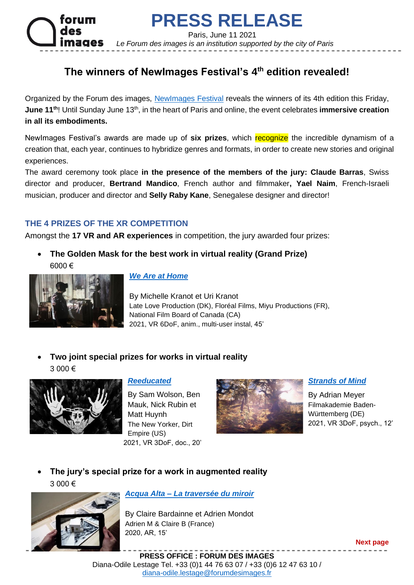

# **PRESS RELEASE**

Paris, June 11 2021

 *Le Forum des images is an institution supported by the city of Paris*

# **The winners of NewImages Festival's 4 th edition revealed!**

Organized by the Forum des images, [NewImages Festival](https://newimagesfestival.com/en) reveals the winners of its 4th edition this Friday, June 11<sup>th</sup>! Until Sunday June 13<sup>th</sup>, in the heart of Paris and online, the event celebrates **immersive creation in all its embodiments.**

NewImages Festival's awards are made up of six prizes, which recognize the incredible dynamism of a creation that, each year, continues to hybridize genres and formats, in order to create new stories and original experiences.

The award ceremony took place **in the presence of the members of the jury: Claude Barras**, Swiss director and producer, **Bertrand Mandico**, French author and filmmaker**, Yael Naim**, French-Israeli musician, producer and director and **Selly Raby Kane**, Senegalese designer and director!

# **THE 4 PRIZES OF THE XR COMPETITION**

Amongst the **17 VR and AR experiences** in competition, the jury awarded four prizes:

• **The Golden Mask for the best work in virtual reality (Grand Prize)** 6000 €



#### *[We Are at Home](https://newimagesfestival.com/en/xr-line-up/)*

By Michelle Kranot et Uri Kranot Late Love Production (DK), Floréal Films, Miyu Productions (FR), National Film Board of Canada (CA) 2021, VR 6DoF, anim., multi-user instal, 45'

• **Two joint special prizes for works in virtual reality**  3 000 €



#### *[Reeducated](https://newimagesfestival.com/en/xr-line-up/)*

By Sam Wolson, Ben Mauk, Nick Rubin et Matt Huynh The New Yorker, Dirt Empire (US) 2021, VR 3DoF, doc., 20'



*[Strands of Mind](https://newimagesfestival.com/en/xr-line-up/)*

By Adrian Meyer Filmakademie Baden-Württemberg (DE) 2021, VR 3DoF, psych., 12'

• **The jury's special prize for a work in augmented reality**  3 000 €



## *Acqua Alta – [La traversée du miroir](https://newimagesfestival.com/en/xr-line-up/)*

By Claire Bardainne et Adrien Mondot Adrien M & Claire B (France) 2020, AR, 15'

**Next page**

**PRESS OFFICE : FORUM DES IMAGES** Diana-Odile Lestage Tel. +33 (0)1 44 76 63 07 / +33 (0)6 12 47 63 10 / [diana-odile.lestage@forumdesimages.fr](mailto:diana-odile.lestage@forumdesimages.fr)